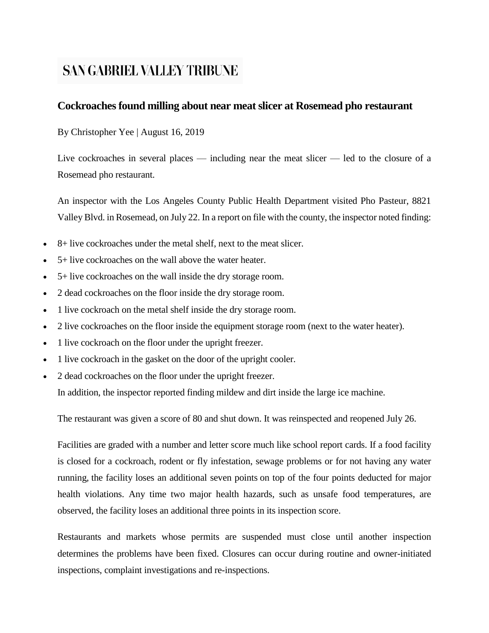# **SAN GABRIEL VALLEY TRIBUNE**

## **Cockroaches found milling about near meat slicer at Rosemead pho restaurant**

By Christopher Yee | August 16, 2019

Live cockroaches in several places — including near the meat slicer — led to the closure of a Rosemead pho restaurant.

An inspector with the Los Angeles County Public Health Department visited Pho Pasteur, 8821 Valley Blvd. in Rosemead, on July 22. In a report on file with the county, the inspector noted finding:

- 8+ live cockroaches under the metal shelf, next to the meat slicer.
- 5+ live cockroaches on the wall above the water heater.
- 5+ live cockroaches on the wall inside the dry storage room.
- 2 dead cockroaches on the floor inside the dry storage room.
- 1 live cockroach on the metal shelf inside the dry storage room.
- 2 live cockroaches on the floor inside the equipment storage room (next to the water heater).
- 1 live cockroach on the floor under the upright freezer.
- 1 live cockroach in the gasket on the door of the upright cooler.
- 2 dead cockroaches on the floor under the upright freezer.

In addition, the inspector reported finding mildew and dirt inside the large ice machine.

The restaurant was given a score of 80 and shut down. It was reinspected and reopened July 26.

Facilities are graded with a number and letter score much like school report cards. If a food facility is closed for a cockroach, rodent or fly infestation, sewage problems or for not having any water running, the facility loses an additional seven points on top of the four points deducted for major health violations. Any time two major health hazards, such as unsafe food temperatures, are observed, the facility loses an additional three points in its inspection score.

Restaurants and markets whose permits are suspended must close until another inspection determines the problems have been fixed. Closures can occur during routine and owner-initiated inspections, complaint investigations and re-inspections.